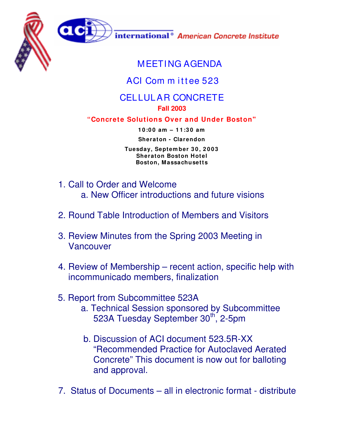



international<sup>®</sup> American Concrete Institute

## MEETING AGENDA

## ACI Com m ittee 523

## CELLULAR CONCRETE

## **Fall 2003**

**"Concrete Solutions Over and Under Boston"**

**1 0 :0 0 am – 1 1 :3 0 am Sheraton - Clarendon**

**Tuesday, Septem ber 3 0 , 2 0 0 3 Sheraton Boston Hotel Boston, Massachusetts**

- 1. Call to Order and Welcome a. New Officer introductions and future visions
- 2. Round Table Introduction of Members and Visitors
- 3. Review Minutes from the Spring 2003 Meeting in Vancouver
- 4. Review of Membership recent action, specific help with incommunicado members, finalization
- 5. Report from Subcommittee 523A
	- a. Technical Session sponsored by Subcommittee 523A Tuesday September 30<sup>th</sup>, 2-5pm
	- b. Discussion of ACI document 523.5R-XX "Recommended Practice for Autoclaved Aerated Concrete" This document is now out for balloting and approval.
- 7. Status of Documents all in electronic format distribute